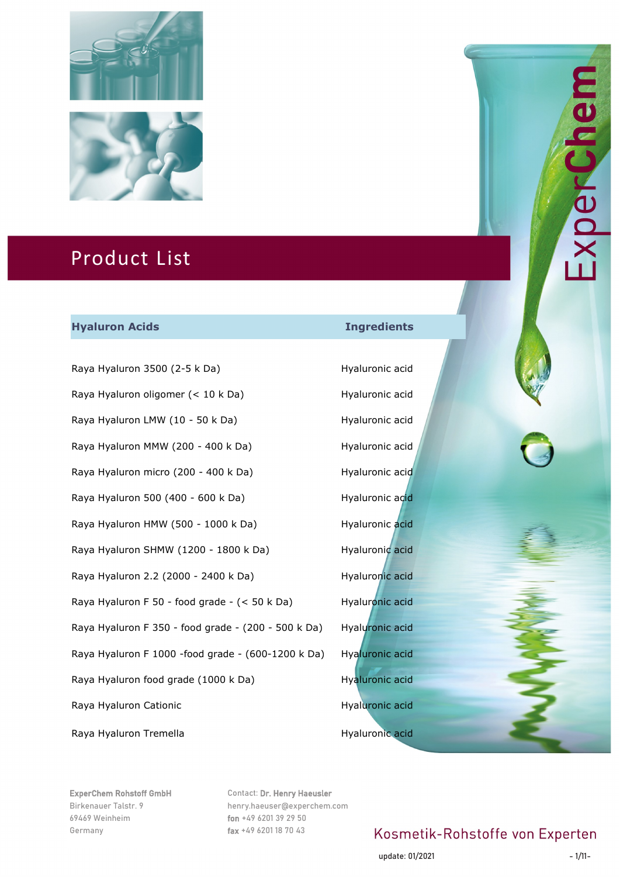



#### **Hyaluron Acids Ingredients**

Raya Hyaluron 3500 (2-5 k Da) Hyaluronic acid Raya Hyaluron oligomer (< 10 k Da) Hyaluronic acid Raya Hyaluron LMW (10 - 50 k Da) Hyaluronic acid Raya Hyaluron MMW (200 - 400 k Da) Hyaluronic acid Raya Hyaluron micro (200 - 400 k Da) Hyaluronic acid Raya Hyaluron 500 (400 - 600 k Da) Hyaluronic acid Raya Hyaluron HMW (500 - 1000 k Da) Hyaluronic acid Raya Hyaluron SHMW (1200 - 1800 k Da) Hyaluronic acid Raya Hyaluron 2.2 (2000 - 2400 k Da) Hyaluronic acid Raya Hyaluron F 50 - food grade - (< 50 k Da) Hyaluronic acid Raya Hyaluron F 350 - food grade - (200 - 500 k Da) Hyaluronic acid Raya Hyaluron F 1000 -food grade - (600-1200 k Da) Hyaluronic acid Raya Hyaluron food grade (1000 k Da) Hyaluronic acid Raya Hyaluron Cationic **Hyaluronic acid** Hyaluronic acid Raya Hyaluron Tremella **Hyaluronic acid** Hyaluronic acid

ExperChem Rohstoff GmbH Birkenauer Talstr. 9 69469 Weinheim Germany

Contact: Dr. Henry Haeusler henry.haeuser@experchem.com fon +49 6201 39 29 50 fax +49 6201 18 70 43

# Kosmetik-Rohstoffe von Experten

update: 01/2021 - 1/11-

Derun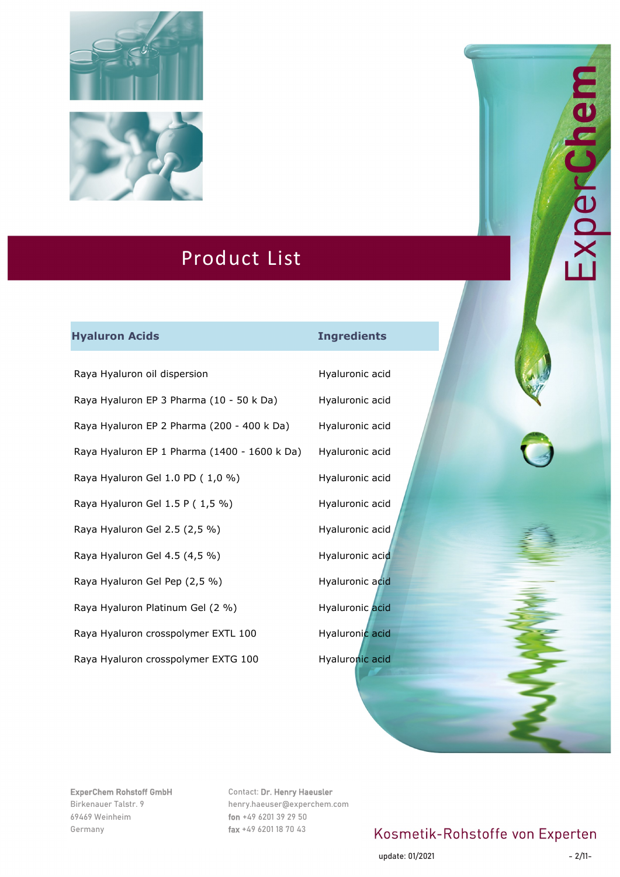



#### **Hyaluron Acids Ingredients**

Raya Hyaluron oil dispersion example a Hyaluronic acid Raya Hyaluron EP 3 Pharma (10 - 50 k Da) Hyaluronic acid Raya Hyaluron EP 2 Pharma (200 - 400 k Da) Hyaluronic acid Raya Hyaluron EP 1 Pharma (1400 - 1600 k Da) Hyaluronic acid Raya Hyaluron Gel 1.0 PD (1,0 %) Hyaluronic acid Raya Hyaluron Gel 1.5 P (1,5 %) Hyaluronic acid Raya Hyaluron Gel 2.5 (2,5 %) Hyaluronic acid Raya Hyaluron Gel 4.5 (4,5 %) Hyaluronic acid Raya Hyaluron Gel Pep (2,5 %) Hyaluronic acid Raya Hyaluron Platinum Gel (2 %) Hyaluronic acid Raya Hyaluron crosspolymer EXTL 100 Hyaluronic acid

Raya Hyaluron crosspolymer EXTG 100 Hyaluronic acid

ExperChem Rohstoff GmbH Birkenauer Talstr. 9 69469 Weinheim Germany

Contact: Dr. Henry Haeusler henry.haeuser@experchem.com fon +49 6201 39 29 50 fax +49 6201 18 70 43

# Kosmetik-Rohstoffe von Experten

update: 01/2021 - 2/11

NDerun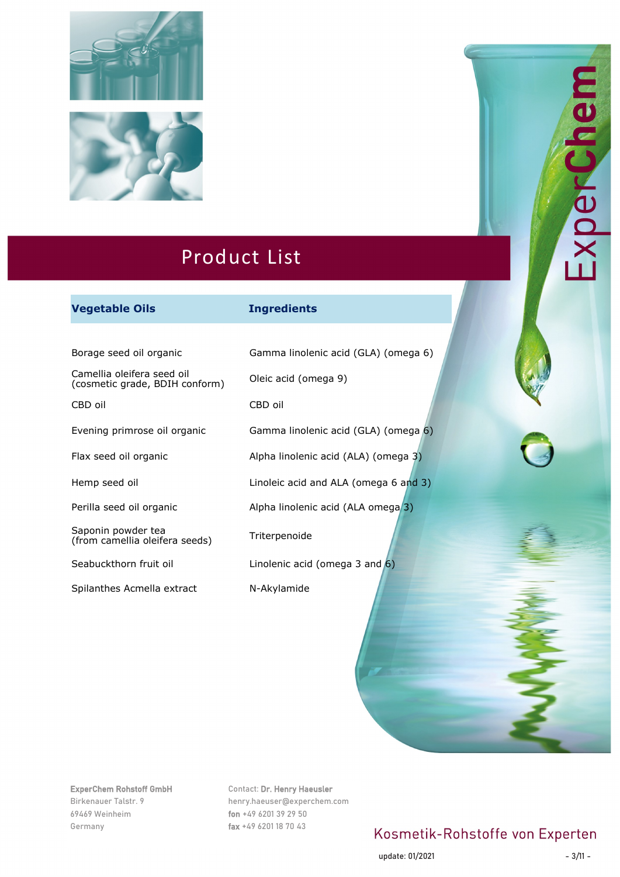



#### **Vegetable Oils Ingredients**

Borage seed oil organic Gamma linolenic acid (GLA) (omega 6)

Camellia oleifera seed oil (cosmetic grade, BDIH conform) Oleic acid (omega 9)

Saponin powder tea Saponin powder tea<br>(from camellia oleifera seeds) Triterpenoide

Spilanthes Acmella extract N-Akylamide

CBD oil CBD oil Evening primrose oil organic Gamma linolenic acid (GLA) (omega 6) Flax seed oil organic Alpha linolenic acid (ALA) (omega 3) Hemp seed oil **Linoleic acid and ALA** (omega 6 and 3) Perilla seed oil organic Alpha linolenic acid (ALA omega<sup>3</sup>) Seabuckthorn fruit oil **Linolenic acid (omega 3 and 6)** 

#### ExperChem Rohstoff GmbH

Birkenauer Talstr. 9 69469 Weinheim Germany

#### Contact: Dr. Henry Haeusler

henry.haeuser@experchem.com fon +49 6201 39 29 50 fax +49 6201 18 70 43

### Kosmetik-Rohstoffe von Experten

update: 01/2021 - 3/11

xperche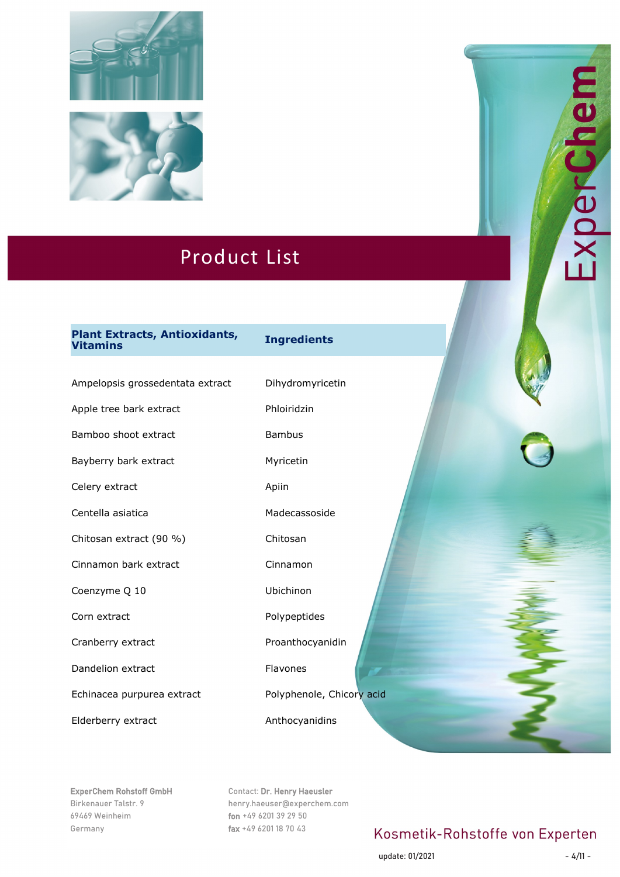



# **Plant Extracts, Antioxidants, Vitamins Ingredients**

Ampelopsis grossedentata extract Dihydromyricetin

Apple tree bark extract Phloiridzin

Bamboo shoot extract Bambus

Bayberry bark extract Myricetin

Celery extract Apiin

Chitosan extract (90 %) Chitosan

Cinnamon bark extract Cinnamon

Coenzyme Q 10 Ubichinon

Corn extract **Polypeptides** 

Dandelion extract Flavones

Echinacea purpurea extract Polyphenole, Chicory acid

Elderberry extract Anthocyanidins

Centella asiatica **Madecassoside** Cranberry extract **Proanthocyanidin** 

ExperChem Rohstoff GmbH Birkenauer Talstr. 9 69469 Weinheim Germany

Contact: Dr. Henry Haeusler henry.haeuser@experchem.com fon +49 6201 39 29 50 fax +49 6201 18 70 43

## Kosmetik-Rohstoffe von Experten

update: 01/2021 - 4/11

Experchei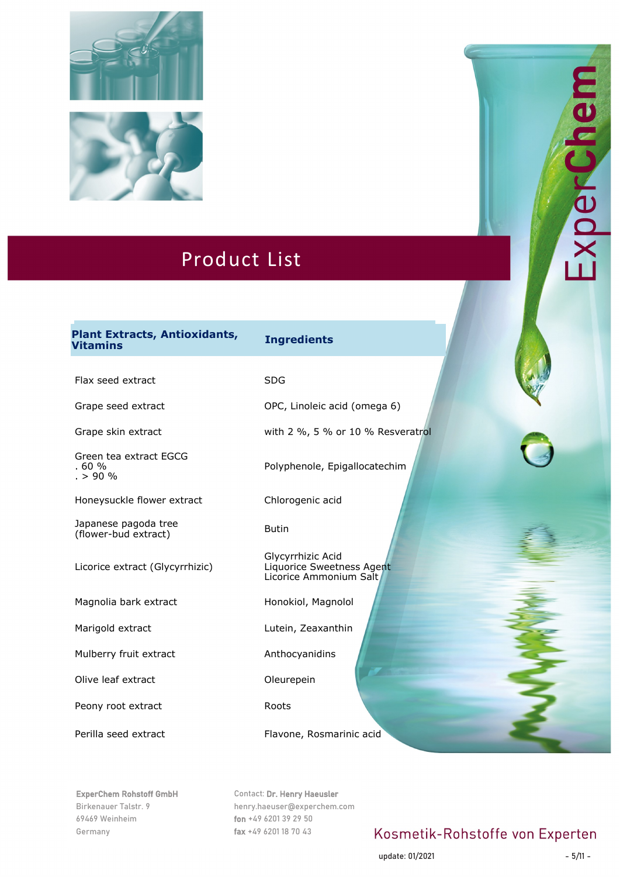



# **Plant Extracts, Antioxidants, Vitamins Ingredients Plant Extracts, Antioxidants, Vitamins Ingredients**

Flax seed extract SDG

Grape seed extract **CEC** OPC, Linoleic acid (omega 6)

Green tea extract EGCG . 60 %  $. > 90\%$ 

Honeysuckle flower extract Chlorogenic acid

Japanese pagoda tree (flower-bud extract) Butin

Licorice extract (Glycyrrhizic)

Magnolia bark extract Honokiol, Magnolol

Mulberry fruit extract Anthocyanidins

Olive leaf extract **Oleurepein** 

Peony root extract Roots

Grape skin extract with 2 %, 5 % or 10 % Resveratrol

Polyphenole, Epigallocatechim

Glycyrrhizic Acid Liquorice Sweetness Agent Licorice Ammonium Salt

Marigold extract Lutein, Zeaxanthin

Perilla seed extract Flavone, Rosmarinic acid

ExperChem Rohstoff GmbH Birkenauer Talstr. 9 69469 Weinheim Germany

Contact: Dr. Henry Haeusler henry.haeuser@experchem.com fon +49 6201 39 29 50 fax +49 6201 18 70 43

## Kosmetik-Rohstoffe von Experten

update: 01/2021 - 5/11

xperchei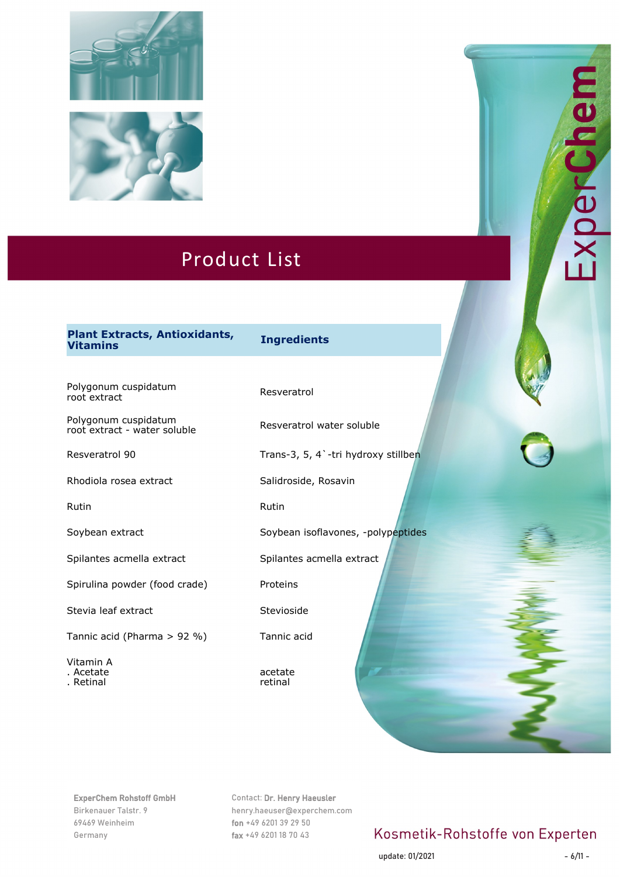



# **Plant Extracts, Antioxidants, Vitamins Ingredients**

Polygonum cuspidatum<br>root extract

Polygonum cuspidatum root extract - water soluble Resveratrol water soluble

Rhodiola rosea extract Salidroside, Rosavin

Spilantes acmella extract Spilantes acmella extract

Spirulina powder (food crade) Proteins

Stevia leaf extract Stevioside

Tannic acid (Pharma > 92 %) Tannic acid

Vitamin A . Acetate

. Retinal

Resveratrol 90 Trans-3, 5, 4`-tri hydroxy stillben

Rutin **Rutin** Rutin **Rutin** 

Soybean extract Soybean isoflavones, -polypeptides

acetate retinal

ExperChem Rohstoff GmbH Birkenauer Talstr. 9 69469 Weinheim Germany

Contact: Dr. Henry Haeusler henry.haeuser@experchem.com fon +49 6201 39 29 50 fax +49 6201 18 70 43

# Kosmetik-Rohstoffe von Experten

update: 01/2021 - 6/11

El AperChe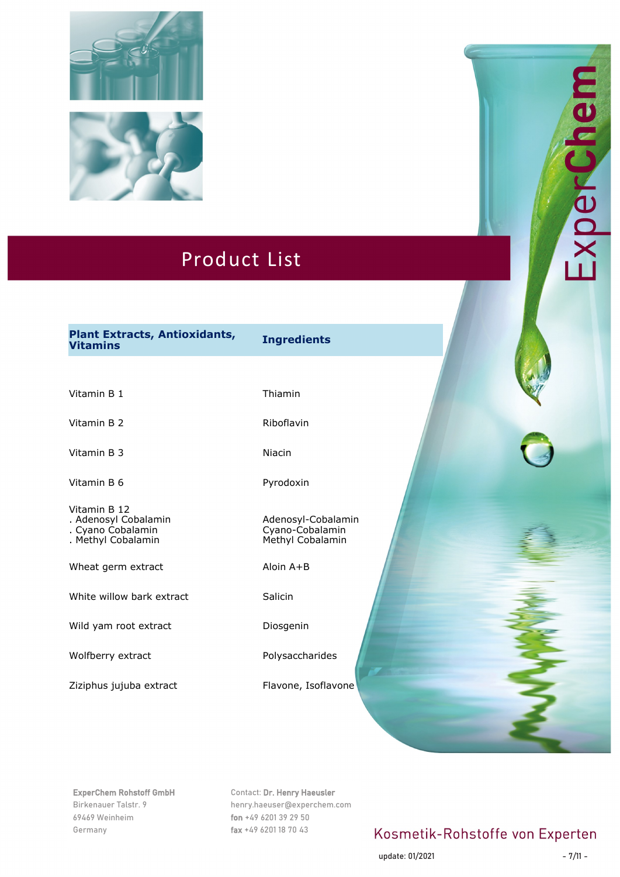



# **Plant Extracts, Antioxidants, Vitamins Ingredients**

Vitamin B 1 Thiamin

Vitamin B 2 Riboflavin

Vitamin B 3 Niacin

Vitamin B 6 Pyrodoxin

Vitamin B 12 . Adenosyl Cobalamin . Cyano Cobalamin

. Methyl Cobalamin

Wheat germ extract Aloin A+B

White willow bark extract Salicin

Wild yam root extract Diosgenin

Wolfberry extract **Polysaccharides** 

Ziziphus jujuba extract Flavone, Isoflavone

Adenosyl-Cobalamin Cyano-Cobalamin Methyl Cobalamin

ExperChem Rohstoff GmbH Birkenauer Talstr. 9 69469 Weinheim Germany

Contact: Dr. Henry Haeusler henry.haeuser@experchem.com fon +49 6201 39 29 50 fax +49 6201 18 70 43

# Kosmetik-Rohstoffe von Experten

update: 01/2021 - 7/11

Experchem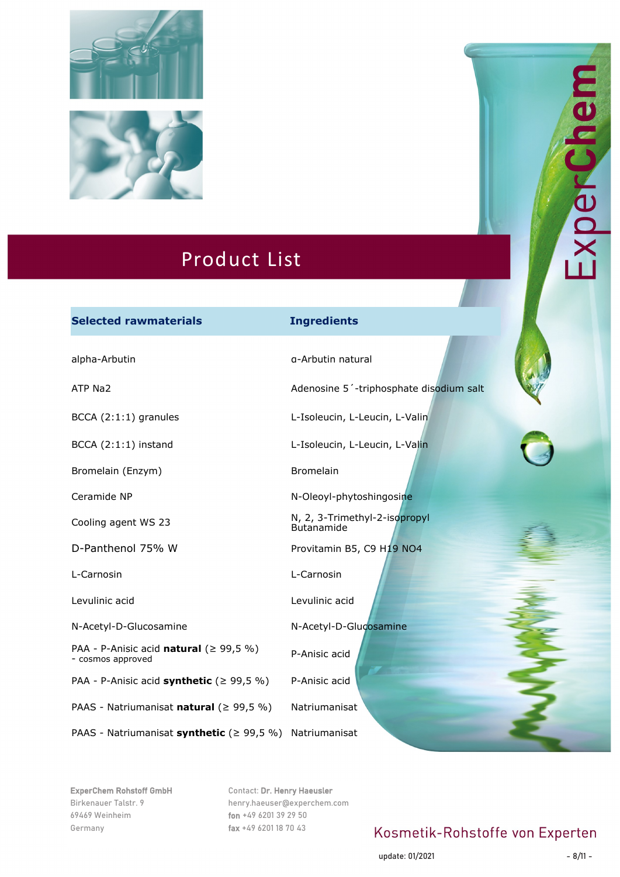



#### **Selected rawmaterials Ingredients**

Bromelain (Enzym) Bromelain

PAA - P-Anisic acid **natural** (≥ 99,5 %) P-Anisic acid **natural** (2 99, 3 %) P-Anisic acid<br>- cosmos approved

PAA - P-Anisic acid **synthetic** (≥ 99,5 %) P-Anisic acid

PAAS - Natriumanisat **natural** (≥ 99,5 %) Natriumanisat

PAAS - Natriumanisat **synthetic** (≥ 99,5 %) Natriumanisat

alpha-Arbutin and alpha-Arbutin natural ATP Na2 Adenosine 5'-triphosphate disodium salt BCCA (2:1:1) granules L-Isoleucin, L-Leucin, L-Valin BCCA (2:1:1) instand L-Isoleucin, L-Leucin, L-Valin Ceramide NP N-Oleoyl-phytoshingosine Cooling agent WS 23 N, 2, 3-Trimethyl-2-isopropyl **Butanamide** D-Panthenol 75% W Provitamin B5, C9 H19 NO4 L-Carnosin L-Carnosin Levulinic acid Levulinic acid N-Acetyl-D-Glucosamine N-Acetyl-D-Glucosamine

# DerLin

ExperChem Rohstoff GmbH Birkenauer Talstr. 9 69469 Weinheim Germany

Contact: Dr. Henry Haeusler henry.haeuser@experchem.com fon +49 6201 39 29 50 fax +49 6201 18 70 43

# Kosmetik-Rohstoffe von Experten

update: 01/2021 - 8/11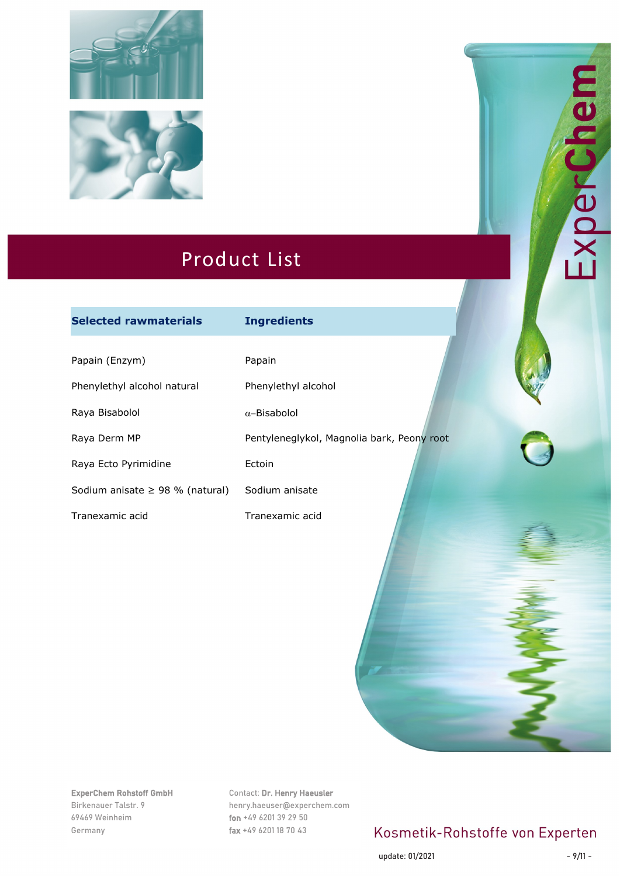



| <b>Selected rawmaterials</b>         | <b>Ingredients</b>                         |
|--------------------------------------|--------------------------------------------|
|                                      |                                            |
| Papain (Enzym)                       | Papain                                     |
| Phenylethyl alcohol natural          | Phenylethyl alcohol                        |
| Raya Bisabolol                       | $\alpha$ -Bisabolol                        |
| Raya Derm MP                         | Pentyleneglykol, Magnolia bark, Peony root |
| Raya Ecto Pyrimidine                 | Ectoin                                     |
| Sodium anisate $\geq$ 98 % (natural) | Sodium anisate                             |
| Tranexamic acid                      | Tranexamic acid                            |

ExperChem Rohstoff GmbH Birkenauer Talstr. 9 69469 Weinheim Germany

Contact: Dr. Henry Haeusler henry.haeuser@experchem.com fon +49 6201 39 29 50 fax +49 6201 18 70 43

# Kosmetik-Rohstoffe von Experten

update: 01/2021 - 9/11

**EB** 

E

ExperC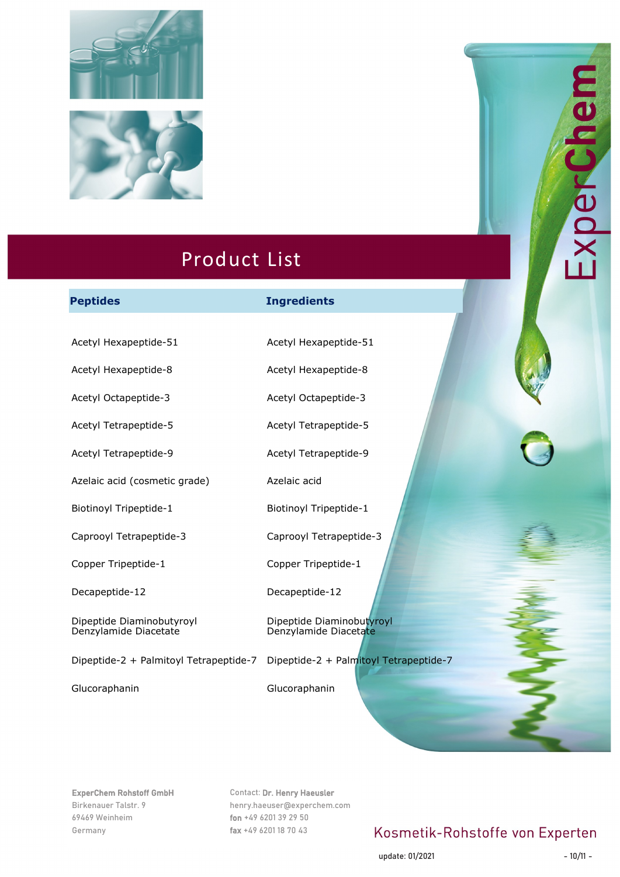



#### **Peptides Ingredients**

Acetyl Hexapeptide-51 Acetyl Hexapeptide-51

Acetyl Hexapeptide-8 Acetyl Hexapeptide-8

Azelaic acid (cosmetic grade) Azelaic acid

Caprooyl Tetrapeptide-3 Caprooyl Tetrapeptide-3

Decapeptide-12 Decapeptide-12

Dipeptide Diaminobutyroyl Denzylamide Diacetate

Dipeptide-2 + Palmitoyl Tetrapeptide-7 Dipeptide-2 + Palmitoyl Tetrapeptide-7

Glucoraphanin Glucoraphanin

Acetyl Octapeptide-3 Acetyl Octapeptide-3

Acetyl Tetrapeptide-5 Acetyl Tetrapeptide-5

Acetyl Tetrapeptide-9 Acetyl Tetrapeptide-9

Biotinoyl Tripeptide-1 Biotinoyl Tripeptide-1

Copper Tripeptide-1 Copper Tripeptide-1

Dipeptide Diaminobutyroyl Denzylamide Diacetate

ExperChem Rohstoff GmbH Birkenauer Talstr. 9 69469 Weinheim Germany

Contact: Dr. Henry Haeusler henry.haeuser@experchem.com fon +49 6201 39 29 50 fax +49 6201 18 70 43

## Kosmetik-Rohstoffe von Experten

update: 01/2021 - 10/11

**USPIEC**